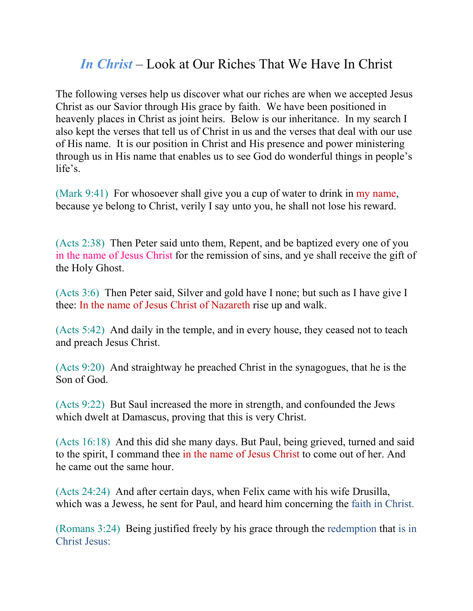## *In Christ* – Look at Our Riches That We Have In Christ

The following verses help us discover what our riches are when we accepted Jesus Christ as our Savior through His grace by faith. We have been positioned in heavenly places in Christ as joint heirs. Below is our inheritance. In my search I also kept the verses that tell us of Christ in us and the verses that deal with our use of His name. It is our position in Christ and His presence and power ministering through us in His name that enables us to see God do wonderful things in people's life's.

(Mark 9:41) For whosoever shall give you a cup of water to drink in my name, because ye belong to Christ, verily I say unto you, he shall not lose his reward.

(Acts 2:38) Then Peter said unto them, Repent, and be baptized every one of you in the name of Jesus Christ for the remission of sins, and ye shall receive the gift of the Holy Ghost.

(Acts 3:6) Then Peter said, Silver and gold have I none; but such as I have give I thee: In the name of Jesus Christ of Nazareth rise up and walk.

(Acts 5:42) And daily in the temple, and in every house, they ceased not to teach and preach Jesus Christ.

(Acts 9:20) And straightway he preached Christ in the synagogues, that he is the Son of God.

(Acts 9:22) But Saul increased the more in strength, and confounded the Jews which dwelt at Damascus, proving that this is very Christ.

(Acts 16:18) And this did she many days. But Paul, being grieved, turned and said to the spirit, I command thee in the name of Jesus Christ to come out of her. And he came out the same hour.

(Acts 24:24) And after certain days, when Felix came with his wife Drusilla, which was a Jewess, he sent for Paul, and heard him concerning the faith in Christ.

(Romans 3:24) Being justified freely by his grace through the redemption that is in Christ Jesus: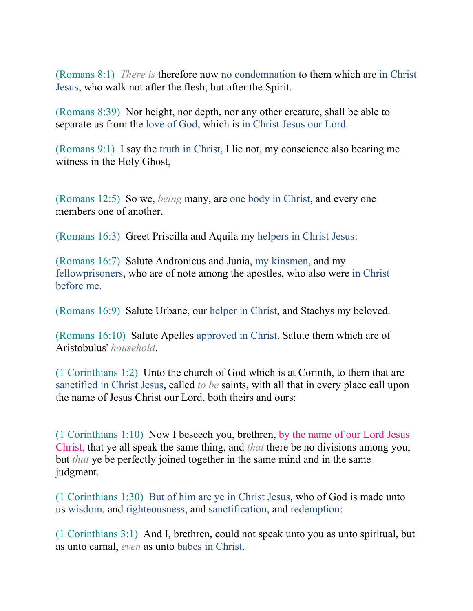(Romans 8:1) *There is* therefore now no condemnation to them which are in Christ Jesus, who walk not after the flesh, but after the Spirit.

(Romans 8:39) Nor height, nor depth, nor any other creature, shall be able to separate us from the love of God, which is in Christ Jesus our Lord.

(Romans 9:1) I say the truth in Christ, I lie not, my conscience also bearing me witness in the Holy Ghost,

(Romans 12:5) So we, *being* many, are one body in Christ, and every one members one of another.

(Romans 16:3) Greet Priscilla and Aquila my helpers in Christ Jesus:

(Romans 16:7) Salute Andronicus and Junia, my kinsmen, and my fellowprisoners, who are of note among the apostles, who also were in Christ before me.

(Romans 16:9) Salute Urbane, our helper in Christ, and Stachys my beloved.

(Romans 16:10) Salute Apelles approved in Christ. Salute them which are of Aristobulus' *household*.

(1 Corinthians 1:2) Unto the church of God which is at Corinth, to them that are sanctified in Christ Jesus, called *to be* saints, with all that in every place call upon the name of Jesus Christ our Lord, both theirs and ours:

(1 Corinthians 1:10) Now I beseech you, brethren, by the name of our Lord Jesus Christ, that ye all speak the same thing, and *that* there be no divisions among you; but *that* ye be perfectly joined together in the same mind and in the same judgment.

(1 Corinthians 1:30) But of him are ye in Christ Jesus, who of God is made unto us wisdom, and righteousness, and sanctification, and redemption:

(1 Corinthians 3:1) And I, brethren, could not speak unto you as unto spiritual, but as unto carnal, *even* as unto babes in Christ.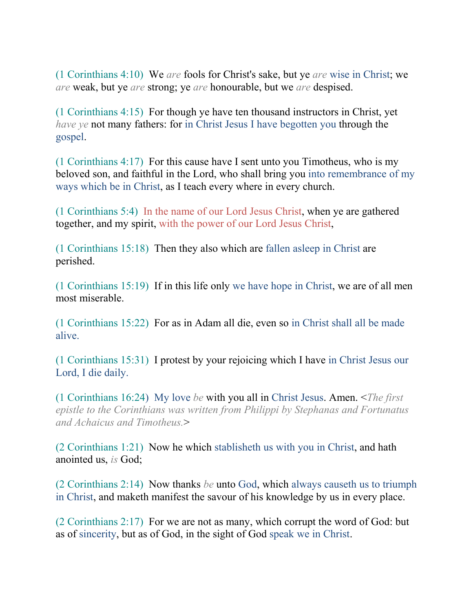(1 Corinthians 4:10) We *are* fools for Christ's sake, but ye *are* wise in Christ; we *are* weak, but ye *are* strong; ye *are* honourable, but we *are* despised.

(1 Corinthians 4:15) For though ye have ten thousand instructors in Christ, yet *have ye* not many fathers: for in Christ Jesus I have begotten you through the gospel.

(1 Corinthians 4:17) For this cause have I sent unto you Timotheus, who is my beloved son, and faithful in the Lord, who shall bring you into remembrance of my ways which be in Christ, as I teach every where in every church.

(1 Corinthians 5:4) In the name of our Lord Jesus Christ, when ye are gathered together, and my spirit, with the power of our Lord Jesus Christ,

(1 Corinthians 15:18) Then they also which are fallen asleep in Christ are perished.

(1 Corinthians 15:19) If in this life only we have hope in Christ, we are of all men most miserable.

(1 Corinthians 15:22) For as in Adam all die, even so in Christ shall all be made alive.

(1 Corinthians 15:31) I protest by your rejoicing which I have in Christ Jesus our Lord, I die daily.

(1 Corinthians 16:24) My love *be* with you all in Christ Jesus. Amen. <*The first epistle to the Corinthians was written from Philippi by Stephanas and Fortunatus and Achaicus and Timotheus.*>

(2 Corinthians 1:21) Now he which stablisheth us with you in Christ, and hath anointed us, *is* God;

(2 Corinthians 2:14) Now thanks *be* unto God, which always causeth us to triumph in Christ, and maketh manifest the savour of his knowledge by us in every place.

(2 Corinthians 2:17) For we are not as many, which corrupt the word of God: but as of sincerity, but as of God, in the sight of God speak we in Christ.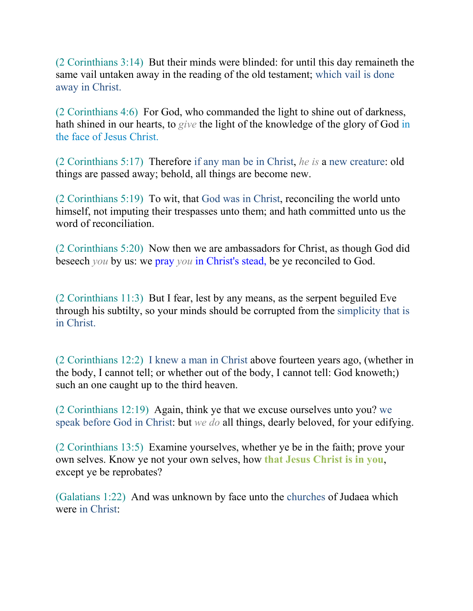(2 Corinthians 3:14) But their minds were blinded: for until this day remaineth the same vail untaken away in the reading of the old testament; which vail is done away in Christ.

(2 Corinthians 4:6) For God, who commanded the light to shine out of darkness, hath shined in our hearts, to *give* the light of the knowledge of the glory of God in the face of Jesus Christ.

(2 Corinthians 5:17) Therefore if any man be in Christ, *he is* a new creature: old things are passed away; behold, all things are become new.

(2 Corinthians 5:19) To wit, that God was in Christ, reconciling the world unto himself, not imputing their trespasses unto them; and hath committed unto us the word of reconciliation.

(2 Corinthians 5:20) Now then we are ambassadors for Christ, as though God did beseech *you* by us: we pray *you* in Christ's stead, be ye reconciled to God.

(2 Corinthians 11:3) But I fear, lest by any means, as the serpent beguiled Eve through his subtilty, so your minds should be corrupted from the simplicity that is in Christ.

(2 Corinthians 12:2) I knew a man in Christ above fourteen years ago, (whether in the body, I cannot tell; or whether out of the body, I cannot tell: God knoweth;) such an one caught up to the third heaven.

(2 Corinthians 12:19) Again, think ye that we excuse ourselves unto you? we speak before God in Christ: but *we do* all things, dearly beloved, for your edifying.

(2 Corinthians 13:5) Examine yourselves, whether ye be in the faith; prove your own selves. Know ye not your own selves, how **that Jesus Christ is in you**, except ye be reprobates?

(Galatians 1:22) And was unknown by face unto the churches of Judaea which were in Christ: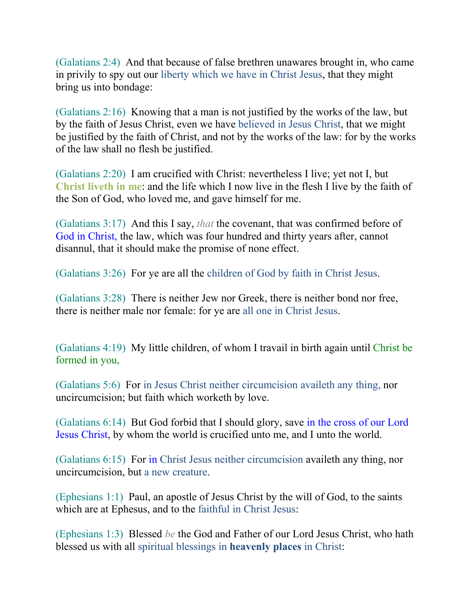(Galatians 2:4) And that because of false brethren unawares brought in, who came in privily to spy out our liberty which we have in Christ Jesus, that they might bring us into bondage:

(Galatians 2:16) Knowing that a man is not justified by the works of the law, but by the faith of Jesus Christ, even we have believed in Jesus Christ, that we might be justified by the faith of Christ, and not by the works of the law: for by the works of the law shall no flesh be justified.

(Galatians 2:20) I am crucified with Christ: nevertheless I live; yet not I, but **Christ liveth in me**: and the life which I now live in the flesh I live by the faith of the Son of God, who loved me, and gave himself for me.

(Galatians 3:17) And this I say, *that* the covenant, that was confirmed before of God in Christ, the law, which was four hundred and thirty years after, cannot disannul, that it should make the promise of none effect.

(Galatians 3:26) For ye are all the children of God by faith in Christ Jesus.

(Galatians 3:28) There is neither Jew nor Greek, there is neither bond nor free, there is neither male nor female: for ye are all one in Christ Jesus.

(Galatians 4:19) My little children, of whom I travail in birth again until Christ be formed in you,

(Galatians 5:6) For in Jesus Christ neither circumcision availeth any thing, nor uncircumcision; but faith which worketh by love.

(Galatians 6:14) But God forbid that I should glory, save in the cross of our Lord Jesus Christ, by whom the world is crucified unto me, and I unto the world.

(Galatians 6:15) For in Christ Jesus neither circumcision availeth any thing, nor uncircumcision, but a new creature.

(Ephesians 1:1) Paul, an apostle of Jesus Christ by the will of God, to the saints which are at Ephesus, and to the faithful in Christ Jesus:

(Ephesians 1:3) Blessed *be* the God and Father of our Lord Jesus Christ, who hath blessed us with all spiritual blessings in **heavenly places** in Christ: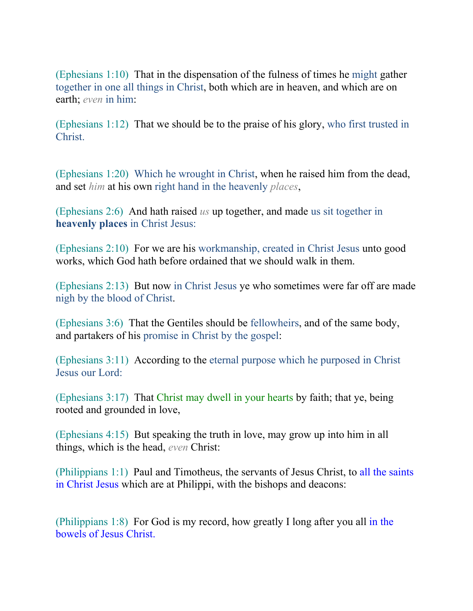(Ephesians 1:10) That in the dispensation of the fulness of times he might gather together in one all things in Christ, both which are in heaven, and which are on earth; *even* in him:

(Ephesians 1:12) That we should be to the praise of his glory, who first trusted in Christ.

(Ephesians 1:20) Which he wrought in Christ, when he raised him from the dead, and set *him* at his own right hand in the heavenly *places*,

(Ephesians 2:6) And hath raised *us* up together, and made us sit together in **heavenly places** in Christ Jesus:

(Ephesians 2:10) For we are his workmanship, created in Christ Jesus unto good works, which God hath before ordained that we should walk in them.

(Ephesians 2:13) But now in Christ Jesus ye who sometimes were far off are made nigh by the blood of Christ.

(Ephesians 3:6) That the Gentiles should be fellowheirs, and of the same body, and partakers of his promise in Christ by the gospel:

(Ephesians 3:11) According to the eternal purpose which he purposed in Christ Jesus our Lord:

(Ephesians 3:17) That Christ may dwell in your hearts by faith; that ye, being rooted and grounded in love,

(Ephesians 4:15) But speaking the truth in love, may grow up into him in all things, which is the head, *even* Christ:

(Philippians 1:1) Paul and Timotheus, the servants of Jesus Christ, to all the saints in Christ Jesus which are at Philippi, with the bishops and deacons:

(Philippians 1:8) For God is my record, how greatly I long after you all in the bowels of Jesus Christ.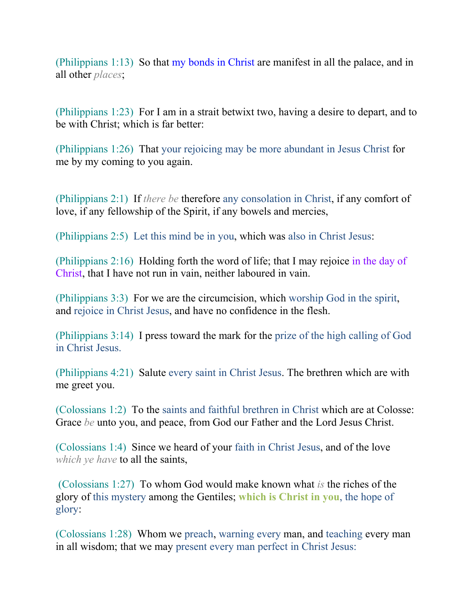(Philippians 1:13) So that my bonds in Christ are manifest in all the palace, and in all other *places*;

(Philippians 1:23) For I am in a strait betwixt two, having a desire to depart, and to be with Christ; which is far better:

(Philippians 1:26) That your rejoicing may be more abundant in Jesus Christ for me by my coming to you again.

(Philippians 2:1) If *there be* therefore any consolation in Christ, if any comfort of love, if any fellowship of the Spirit, if any bowels and mercies,

(Philippians 2:5) Let this mind be in you, which was also in Christ Jesus:

(Philippians 2:16) Holding forth the word of life; that I may rejoice in the day of Christ, that I have not run in vain, neither laboured in vain.

(Philippians 3:3) For we are the circumcision, which worship God in the spirit, and rejoice in Christ Jesus, and have no confidence in the flesh.

(Philippians 3:14) I press toward the mark for the prize of the high calling of God in Christ Jesus.

(Philippians 4:21) Salute every saint in Christ Jesus. The brethren which are with me greet you.

(Colossians 1:2) To the saints and faithful brethren in Christ which are at Colosse: Grace *be* unto you, and peace, from God our Father and the Lord Jesus Christ.

(Colossians 1:4) Since we heard of your faith in Christ Jesus, and of the love *which ye have* to all the saints,

 (Colossians 1:27) To whom God would make known what *is* the riches of the glory of this mystery among the Gentiles; **which is Christ in you**, the hope of glory:

(Colossians 1:28) Whom we preach, warning every man, and teaching every man in all wisdom; that we may present every man perfect in Christ Jesus: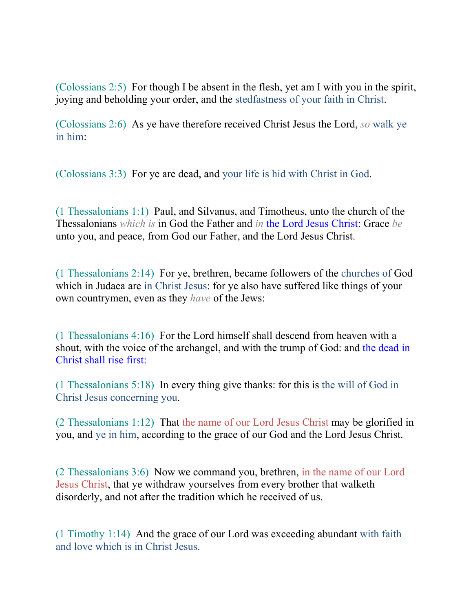(Colossians 2:5) For though I be absent in the flesh, yet am I with you in the spirit, joying and beholding your order, and the stedfastness of your faith in Christ.

(Colossians 2:6) As ye have therefore received Christ Jesus the Lord, *so* walk ye in him:

(Colossians 3:3) For ye are dead, and your life is hid with Christ in God.

(1 Thessalonians 1:1) Paul, and Silvanus, and Timotheus, unto the church of the Thessalonians *which is* in God the Father and *in* the Lord Jesus Christ: Grace *be* unto you, and peace, from God our Father, and the Lord Jesus Christ.

(1 Thessalonians 2:14) For ye, brethren, became followers of the churches of God which in Judaea are in Christ Jesus: for ye also have suffered like things of your own countrymen, even as they *have* of the Jews:

(1 Thessalonians 4:16) For the Lord himself shall descend from heaven with a shout, with the voice of the archangel, and with the trump of God: and the dead in Christ shall rise first:

(1 Thessalonians 5:18) In every thing give thanks: for this is the will of God in Christ Jesus concerning you.

(2 Thessalonians 1:12) That the name of our Lord Jesus Christ may be glorified in you, and ye in him, according to the grace of our God and the Lord Jesus Christ.

(2 Thessalonians 3:6) Now we command you, brethren, in the name of our Lord Jesus Christ, that ye withdraw yourselves from every brother that walketh disorderly, and not after the tradition which he received of us.

(1 Timothy 1:14) And the grace of our Lord was exceeding abundant with faith and love which is in Christ Jesus.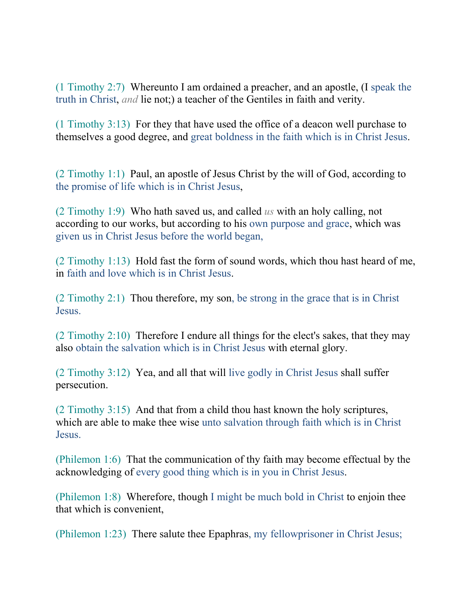(1 Timothy 2:7) Whereunto I am ordained a preacher, and an apostle, (I speak the truth in Christ, *and* lie not;) a teacher of the Gentiles in faith and verity.

(1 Timothy 3:13) For they that have used the office of a deacon well purchase to themselves a good degree, and great boldness in the faith which is in Christ Jesus.

(2 Timothy 1:1) Paul, an apostle of Jesus Christ by the will of God, according to the promise of life which is in Christ Jesus,

(2 Timothy 1:9) Who hath saved us, and called *us* with an holy calling, not according to our works, but according to his own purpose and grace, which was given us in Christ Jesus before the world began,

(2 Timothy 1:13) Hold fast the form of sound words, which thou hast heard of me, in faith and love which is in Christ Jesus.

(2 Timothy 2:1) Thou therefore, my son, be strong in the grace that is in Christ Jesus.

(2 Timothy 2:10) Therefore I endure all things for the elect's sakes, that they may also obtain the salvation which is in Christ Jesus with eternal glory.

(2 Timothy 3:12) Yea, and all that will live godly in Christ Jesus shall suffer persecution.

(2 Timothy 3:15) And that from a child thou hast known the holy scriptures, which are able to make thee wise unto salvation through faith which is in Christ Jesus.

(Philemon 1:6) That the communication of thy faith may become effectual by the acknowledging of every good thing which is in you in Christ Jesus.

(Philemon 1:8) Wherefore, though I might be much bold in Christ to enjoin thee that which is convenient,

(Philemon 1:23) There salute thee Epaphras, my fellowprisoner in Christ Jesus;